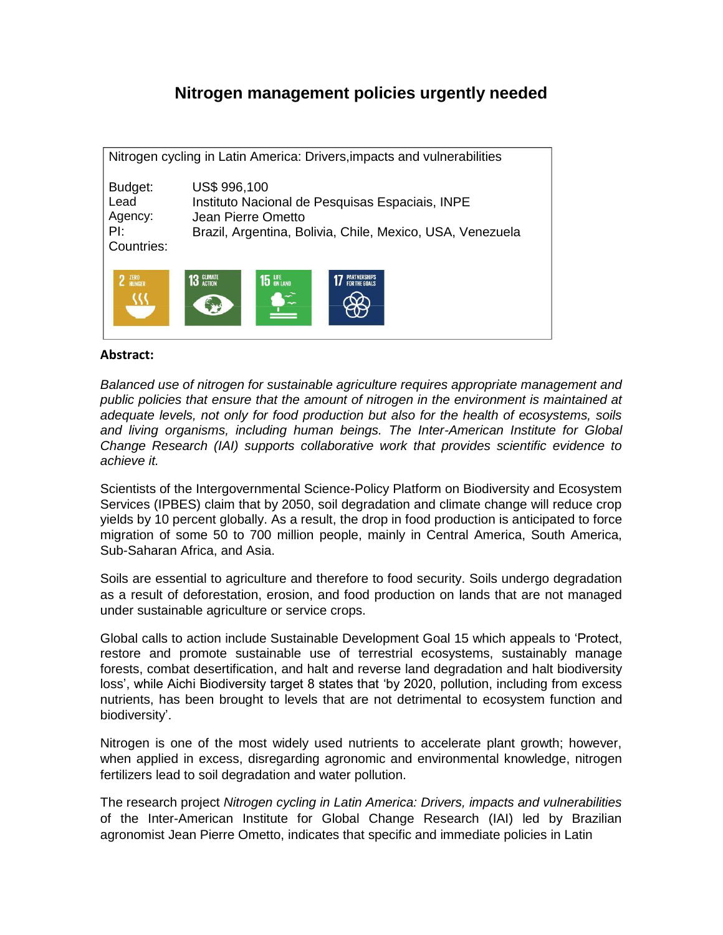### **Nitrogen management policies urgently needed**

|                                                 | Nitrogen cycling in Latin America: Drivers, impacts and vulnerabilities                                                                            |
|-------------------------------------------------|----------------------------------------------------------------------------------------------------------------------------------------------------|
| Budget:<br>Lead<br>Agency:<br>PI:<br>Countries: | US\$ 996,100<br>Instituto Nacional de Pesquisas Espaciais, INPE<br>Jean Pierre Ometto<br>Brazil, Argentina, Bolivia, Chile, Mexico, USA, Venezuela |
| 2 ZERO                                          | <b>13 GLIMATE</b><br><b>15 LIFE</b> ON LAND<br><b>FOR THE GOALS</b>                                                                                |

#### **Abstract:**

*Balanced use of nitrogen for sustainable agriculture requires appropriate management and public policies that ensure that the amount of nitrogen in the environment is maintained at adequate levels, not only for food production but also for the health of ecosystems, soils and living organisms, including human beings. The Inter-American Institute for Global Change Research (IAI) supports collaborative work that provides scientific evidence to achieve it.*

Scientists of the Intergovernmental Science-Policy Platform on Biodiversity and Ecosystem Services (IPBES) claim that by 2050, soil degradation and climate change will reduce crop yields by 10 percent globally. As a result, the drop in food production is anticipated to force migration of some 50 to 700 million people, mainly in Central America, South America, Sub-Saharan Africa, and Asia.

Soils are essential to agriculture and therefore to food security. Soils undergo degradation as a result of deforestation, erosion, and food production on lands that are not managed under sustainable agriculture or service crops.

Global calls to action include Sustainable Development Goal 15 which appeals to 'Protect, restore and promote sustainable use of terrestrial ecosystems, sustainably manage forests, combat desertification, and halt and reverse land degradation and halt biodiversity loss', while Aichi Biodiversity target 8 states that 'by 2020, pollution, including from excess nutrients, has been brought to levels that are not detrimental to ecosystem function and biodiversity'.

Nitrogen is one of the most widely used nutrients to accelerate plant growth; however, when applied in excess, disregarding agronomic and environmental knowledge, nitrogen fertilizers lead to soil degradation and water pollution.

The research project *Nitrogen cycling in Latin America: Drivers, impacts and vulnerabilities* of the Inter-American Institute for Global Change Research (IAI) led by Brazilian agronomist Jean Pierre Ometto, indicates that specific and immediate policies in Latin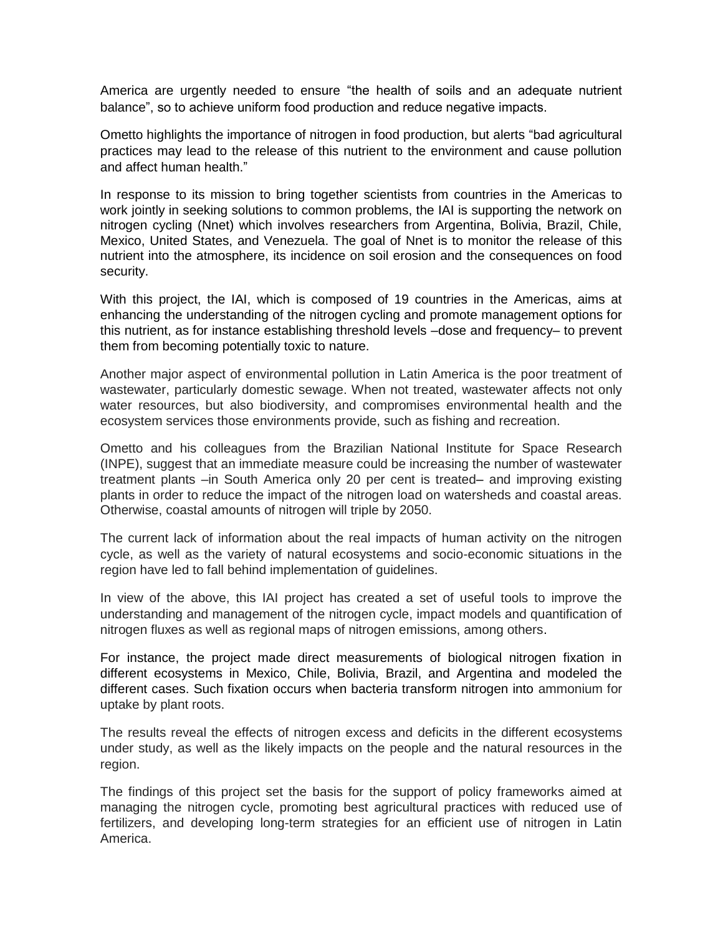America are urgently needed to ensure "the health of soils and an adequate nutrient balance", so to achieve uniform food production and reduce negative impacts.

Ometto highlights the importance of nitrogen in food production, but alerts "bad agricultural practices may lead to the release of this nutrient to the environment and cause pollution and affect human health."

In response to its mission to bring together scientists from countries in the Americas to work jointly in seeking solutions to common problems, the IAI is supporting the network on nitrogen cycling (Nnet) which involves researchers from Argentina, Bolivia, Brazil, Chile, Mexico, United States, and Venezuela. The goal of Nnet is to monitor the release of this nutrient into the atmosphere, its incidence on soil erosion and the consequences on food security.

With this project, the IAI, which is composed of 19 countries in the Americas, aims at enhancing the understanding of the nitrogen cycling and promote management options for this nutrient, as for instance establishing threshold levels –dose and frequency– to prevent them from becoming potentially toxic to nature.

Another major aspect of environmental pollution in Latin America is the poor treatment of wastewater, particularly domestic sewage. When not treated, wastewater affects not only water resources, but also biodiversity, and compromises environmental health and the ecosystem services those environments provide, such as fishing and recreation.

Ometto and his colleagues from the Brazilian National Institute for Space Research (INPE), suggest that an immediate measure could be increasing the number of wastewater treatment plants –in South America only 20 per cent is treated– and improving existing plants in order to reduce the impact of the nitrogen load on watersheds and coastal areas. Otherwise, coastal amounts of nitrogen will triple by 2050.

The current lack of information about the real impacts of human activity on the nitrogen cycle, as well as the variety of natural ecosystems and socio-economic situations in the region have led to fall behind implementation of guidelines.

In view of the above, this IAI project has created a set of useful tools to improve the understanding and management of the nitrogen cycle, impact models and quantification of nitrogen fluxes as well as regional maps of nitrogen emissions, among others.

For instance, the project made direct measurements of biological nitrogen fixation in different ecosystems in Mexico, Chile, Bolivia, Brazil, and Argentina and modeled the different cases. Such fixation occurs when bacteria transform nitrogen into ammonium for uptake by plant roots.

The results reveal the effects of nitrogen excess and deficits in the different ecosystems under study, as well as the likely impacts on the people and the natural resources in the region.

The findings of this project set the basis for the support of policy frameworks aimed at managing the nitrogen cycle, promoting best agricultural practices with reduced use of fertilizers, and developing long-term strategies for an efficient use of nitrogen in Latin America.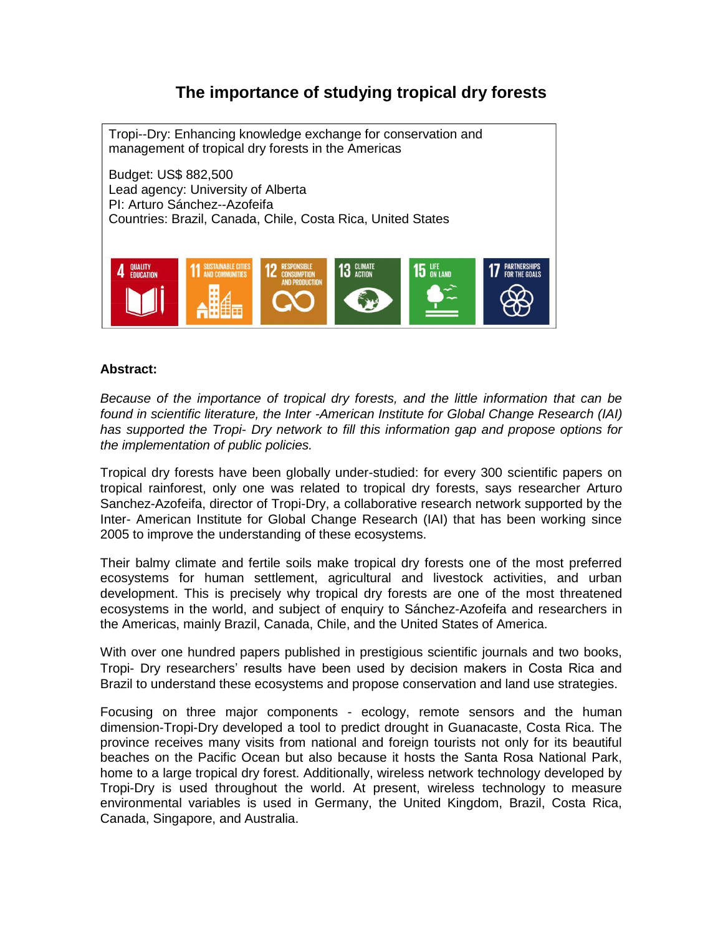# **The importance of studying tropical dry forests**

Tropi--Dry: Enhancing knowledge exchange for conservation and management of tropical dry forests in the Americas Budget: US\$ 882,500 Lead agency: University of Alberta PI: Arturo Sánchez--Azofeifa Countries: Brazil, Canada, Chile, Costa Rica, United States QUALITY<br>EDUCATION  $15$   $\frac{LIF}{DN+AND}$ 

#### **Abstract:**

*Because of the importance of tropical dry forests, and the little information that can be found in scientific literature, the Inter -American Institute for Global Change Research (IAI) has supported the Tropi- Dry network to fill this information gap and propose options for the implementation of public policies.*

Tropical dry forests have been globally under-studied: for every 300 scientific papers on tropical rainforest, only one was related to tropical dry forests, says researcher Arturo Sanchez-Azofeifa, director of Tropi-Dry, a collaborative research network supported by the Inter- American Institute for Global Change Research (IAI) that has been working since 2005 to improve the understanding of these ecosystems.

Their balmy climate and fertile soils make tropical dry forests one of the most preferred ecosystems for human settlement, agricultural and livestock activities, and urban development. This is precisely why tropical dry forests are one of the most threatened ecosystems in the world, and subject of enquiry to Sánchez-Azofeifa and researchers in the Americas, mainly Brazil, Canada, Chile, and the United States of America.

With over one hundred papers published in prestigious scientific journals and two books, Tropi- Dry researchers' results have been used by decision makers in Costa Rica and Brazil to understand these ecosystems and propose conservation and land use strategies.

Focusing on three major components - ecology, remote sensors and the human dimension-Tropi-Dry developed a tool to predict drought in Guanacaste, Costa Rica. The province receives many visits from national and foreign tourists not only for its beautiful beaches on the Pacific Ocean but also because it hosts the Santa Rosa National Park, home to a large tropical dry forest. Additionally, wireless network technology developed by Tropi-Dry is used throughout the world. At present, wireless technology to measure environmental variables is used in Germany, the United Kingdom, Brazil, Costa Rica, Canada, Singapore, and Australia.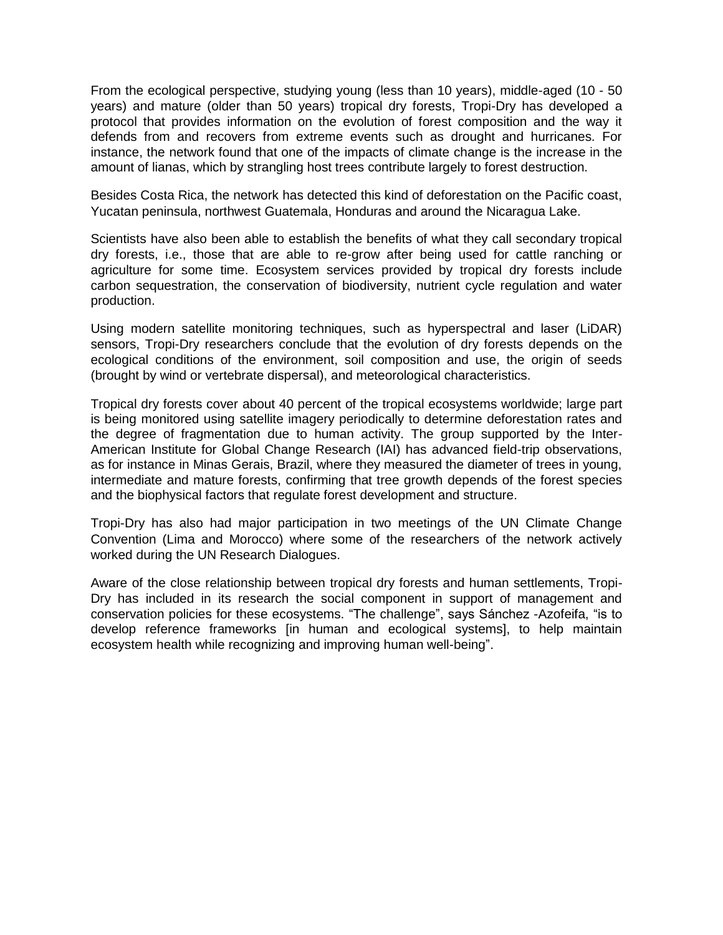From the ecological perspective, studying young (less than 10 years), middle-aged (10 - 50 years) and mature (older than 50 years) tropical dry forests, Tropi-Dry has developed a protocol that provides information on the evolution of forest composition and the way it defends from and recovers from extreme events such as drought and hurricanes. For instance, the network found that one of the impacts of climate change is the increase in the amount of lianas, which by strangling host trees contribute largely to forest destruction.

Besides Costa Rica, the network has detected this kind of deforestation on the Pacific coast, Yucatan peninsula, northwest Guatemala, Honduras and around the Nicaragua Lake.

Scientists have also been able to establish the benefits of what they call secondary tropical dry forests, i.e., those that are able to re-grow after being used for cattle ranching or agriculture for some time. Ecosystem services provided by tropical dry forests include carbon sequestration, the conservation of biodiversity, nutrient cycle regulation and water production.

Using modern satellite monitoring techniques, such as hyperspectral and laser (LiDAR) sensors, Tropi-Dry researchers conclude that the evolution of dry forests depends on the ecological conditions of the environment, soil composition and use, the origin of seeds (brought by wind or vertebrate dispersal), and meteorological characteristics.

Tropical dry forests cover about 40 percent of the tropical ecosystems worldwide; large part is being monitored using satellite imagery periodically to determine deforestation rates and the degree of fragmentation due to human activity. The group supported by the Inter-American Institute for Global Change Research (IAI) has advanced field-trip observations, as for instance in Minas Gerais, Brazil, where they measured the diameter of trees in young, intermediate and mature forests, confirming that tree growth depends of the forest species and the biophysical factors that regulate forest development and structure.

Tropi-Dry has also had major participation in two meetings of the UN Climate Change Convention (Lima and Morocco) where some of the researchers of the network actively worked during the UN Research Dialogues.

Aware of the close relationship between tropical dry forests and human settlements, Tropi-Dry has included in its research the social component in support of management and conservation policies for these ecosystems. "The challenge", says Sánchez -Azofeifa, "is to develop reference frameworks [in human and ecological systems], to help maintain ecosystem health while recognizing and improving human well-being".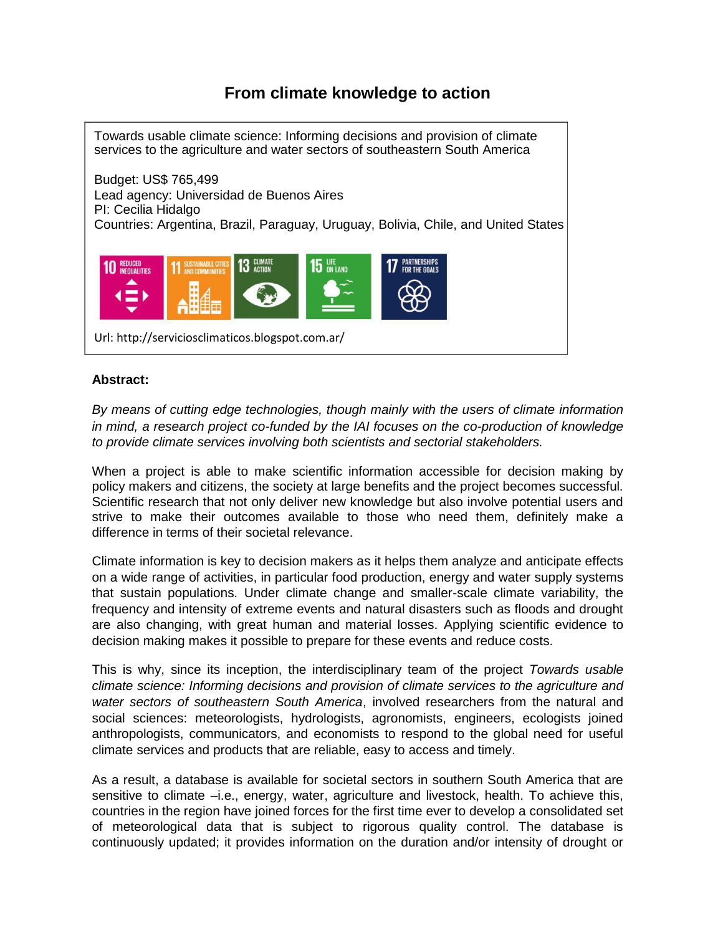## **From climate knowledge to action**



### **Abstract:**

*By means of cutting edge technologies, though mainly with the users of climate information in mind, a research project co-funded by the IAI focuses on the co-production of knowledge to provide climate services involving both scientists and sectorial stakeholders.*

When a project is able to make scientific information accessible for decision making by policy makers and citizens, the society at large benefits and the project becomes successful. Scientific research that not only deliver new knowledge but also involve potential users and strive to make their outcomes available to those who need them, definitely make a difference in terms of their societal relevance.

Climate information is key to decision makers as it helps them analyze and anticipate effects on a wide range of activities, in particular food production, energy and water supply systems that sustain populations. Under climate change and smaller-scale climate variability, the frequency and intensity of extreme events and natural disasters such as floods and drought are also changing, with great human and material losses. Applying scientific evidence to decision making makes it possible to prepare for these events and reduce costs.

This is why, since its inception, the interdisciplinary team of the project *Towards usable climate science: Informing decisions and provision of climate services to the agriculture and water sectors of southeastern South America*, involved researchers from the natural and social sciences: meteorologists, hydrologists, agronomists, engineers, ecologists joined anthropologists, communicators, and economists to respond to the global need for useful climate services and products that are reliable, easy to access and timely.

As a result, a database is available for societal sectors in southern South America that are sensitive to climate –i.e., energy, water, agriculture and livestock, health. To achieve this, countries in the region have joined forces for the first time ever to develop a consolidated set of meteorological data that is subject to rigorous quality control. The database is continuously updated; it provides information on the duration and/or intensity of drought or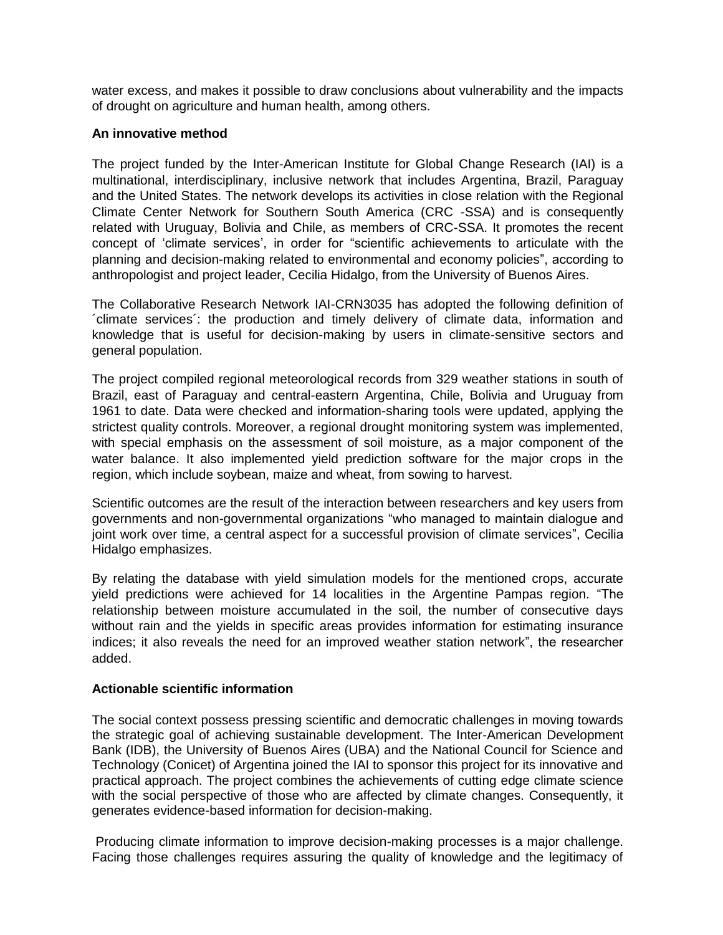water excess, and makes it possible to draw conclusions about vulnerability and the impacts of drought on agriculture and human health, among others.

### **An innovative method**

The project funded by the Inter-American Institute for Global Change Research (IAI) is a multinational, interdisciplinary, inclusive network that includes Argentina, Brazil, Paraguay and the United States. The network develops its activities in close relation with the Regional Climate Center Network for Southern South America (CRC -SSA) and is consequently related with Uruguay, Bolivia and Chile, as members of CRC-SSA. It promotes the recent concept of 'climate services', in order for "scientific achievements to articulate with the planning and decision-making related to environmental and economy policies", according to anthropologist and project leader, Cecilia Hidalgo, from the University of Buenos Aires.

The Collaborative Research Network IAI-CRN3035 has adopted the following definition of ´climate services´: the production and timely delivery of climate data, information and knowledge that is useful for decision-making by users in climate-sensitive sectors and general population.

The project compiled regional meteorological records from 329 weather stations in south of Brazil, east of Paraguay and central-eastern Argentina, Chile, Bolivia and Uruguay from 1961 to date. Data were checked and information-sharing tools were updated, applying the strictest quality controls. Moreover, a regional drought monitoring system was implemented, with special emphasis on the assessment of soil moisture, as a major component of the water balance. It also implemented yield prediction software for the major crops in the region, which include soybean, maize and wheat, from sowing to harvest.

Scientific outcomes are the result of the interaction between researchers and key users from governments and non-governmental organizations "who managed to maintain dialogue and joint work over time, a central aspect for a successful provision of climate services", Cecilia Hidalgo emphasizes.

By relating the database with yield simulation models for the mentioned crops, accurate yield predictions were achieved for 14 localities in the Argentine Pampas region. "The relationship between moisture accumulated in the soil, the number of consecutive days without rain and the yields in specific areas provides information for estimating insurance indices; it also reveals the need for an improved weather station network", the researcher added.

### **Actionable scientific information**

The social context possess pressing scientific and democratic challenges in moving towards the strategic goal of achieving sustainable development. The Inter-American Development Bank (IDB), the University of Buenos Aires (UBA) and the National Council for Science and Technology (Conicet) of Argentina joined the IAI to sponsor this project for its innovative and practical approach. The project combines the achievements of cutting edge climate science with the social perspective of those who are affected by climate changes. Consequently, it generates evidence-based information for decision-making.

Producing climate information to improve decision-making processes is a major challenge. Facing those challenges requires assuring the quality of knowledge and the legitimacy of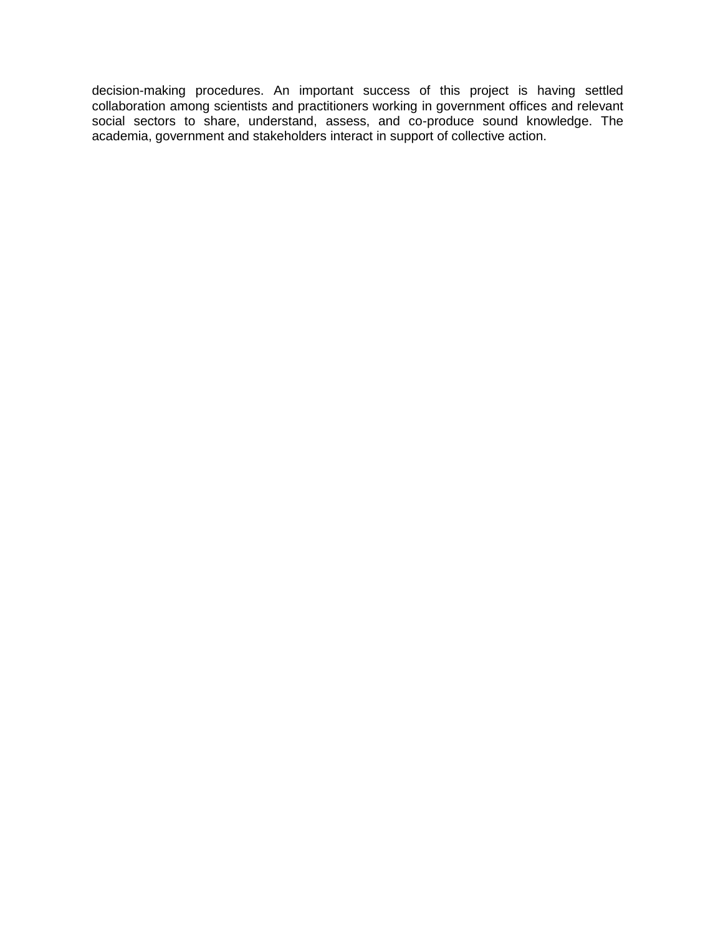decision-making procedures. An important success of this project is having settled collaboration among scientists and practitioners working in government offices and relevant social sectors to share, understand, assess, and co-produce sound knowledge. The academia, government and stakeholders interact in support of collective action.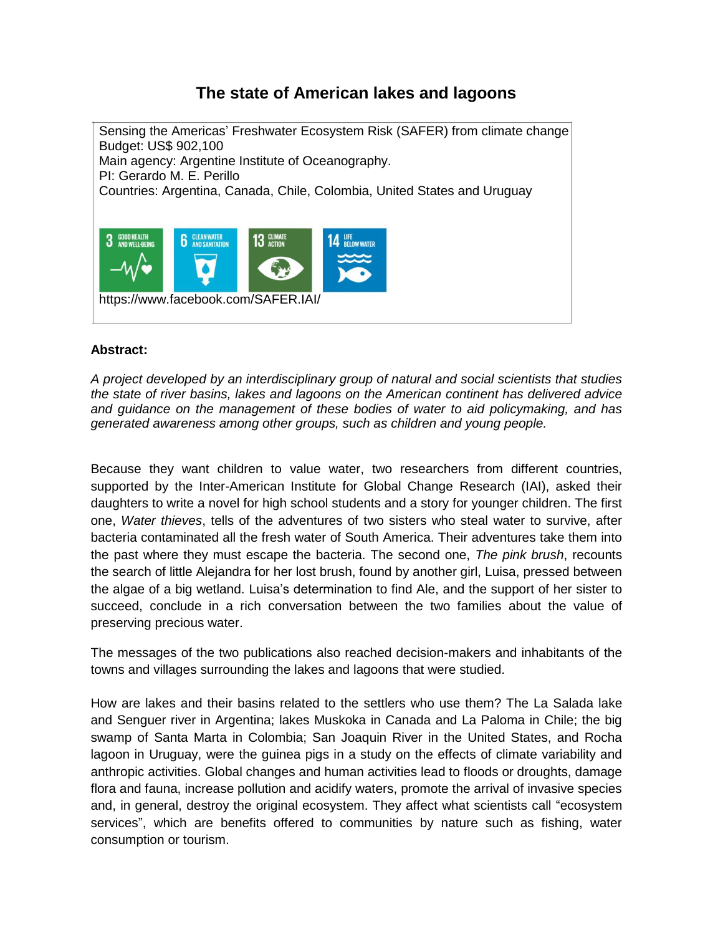# **The state of American lakes and lagoons**



### **Abstract:**

*A project developed by an interdisciplinary group of natural and social scientists that studies the state of river basins, lakes and lagoons on the American continent has delivered advice and guidance on the management of these bodies of water to aid policymaking, and has generated awareness among other groups, such as children and young people.*

Because they want children to value water, two researchers from different countries, supported by the Inter-American Institute for Global Change Research (IAI), asked their daughters to write a novel for high school students and a story for younger children. The first one, *Water thieves*, tells of the adventures of two sisters who steal water to survive, after bacteria contaminated all the fresh water of South America. Their adventures take them into the past where they must escape the bacteria. The second one, *The pink brush*, recounts the search of little Alejandra for her lost brush, found by another girl, Luisa, pressed between the algae of a big wetland. Luisa's determination to find Ale, and the support of her sister to succeed, conclude in a rich conversation between the two families about the value of preserving precious water.

The messages of the two publications also reached decision-makers and inhabitants of the towns and villages surrounding the lakes and lagoons that were studied.

How are lakes and their basins related to the settlers who use them? The La Salada lake and Senguer river in Argentina; lakes Muskoka in Canada and La Paloma in Chile; the big swamp of Santa Marta in Colombia; San Joaquin River in the United States, and Rocha lagoon in Uruguay, were the guinea pigs in a study on the effects of climate variability and anthropic activities. Global changes and human activities lead to floods or droughts, damage flora and fauna, increase pollution and acidify waters, promote the arrival of invasive species and, in general, destroy the original ecosystem. They affect what scientists call "ecosystem services", which are benefits offered to communities by nature such as fishing, water consumption or tourism.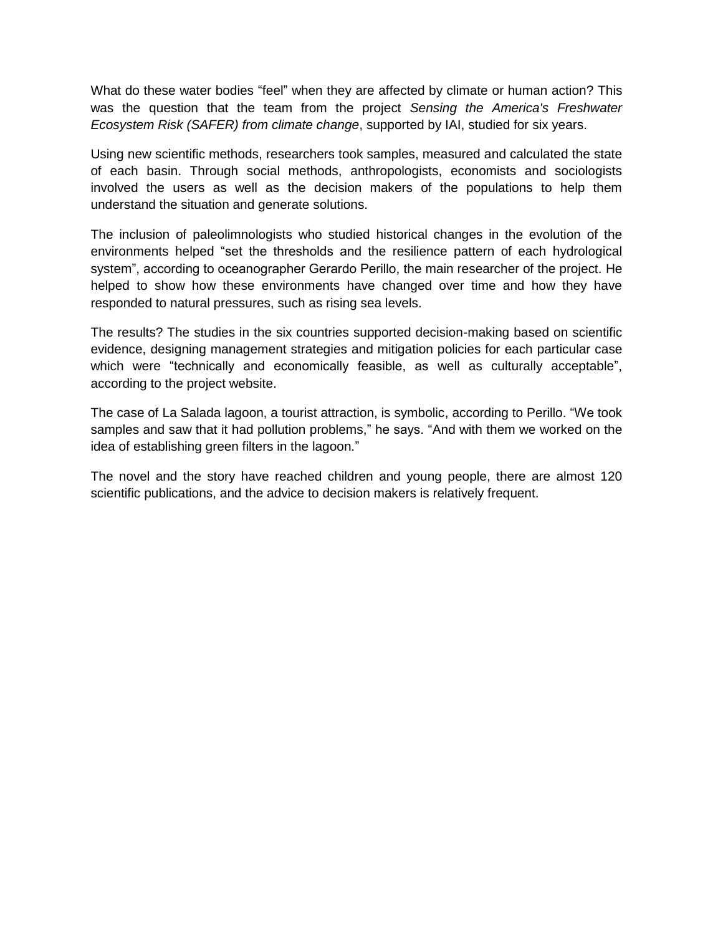What do these water bodies "feel" when they are affected by climate or human action? This was the question that the team from the project *Sensing the America's Freshwater Ecosystem Risk (SAFER) from climate change*, supported by IAI, studied for six years.

Using new scientific methods, researchers took samples, measured and calculated the state of each basin. Through social methods, anthropologists, economists and sociologists involved the users as well as the decision makers of the populations to help them understand the situation and generate solutions.

The inclusion of paleolimnologists who studied historical changes in the evolution of the environments helped "set the thresholds and the resilience pattern of each hydrological system", according to oceanographer Gerardo Perillo, the main researcher of the project. He helped to show how these environments have changed over time and how they have responded to natural pressures, such as rising sea levels.

The results? The studies in the six countries supported decision-making based on scientific evidence, designing management strategies and mitigation policies for each particular case which were "technically and economically feasible, as well as culturally acceptable", according to the project website.

The case of La Salada lagoon, a tourist attraction, is symbolic, according to Perillo. "We took samples and saw that it had pollution problems," he says. "And with them we worked on the idea of establishing green filters in the lagoon."

The novel and the story have reached children and young people, there are almost 120 scientific publications, and the advice to decision makers is relatively frequent.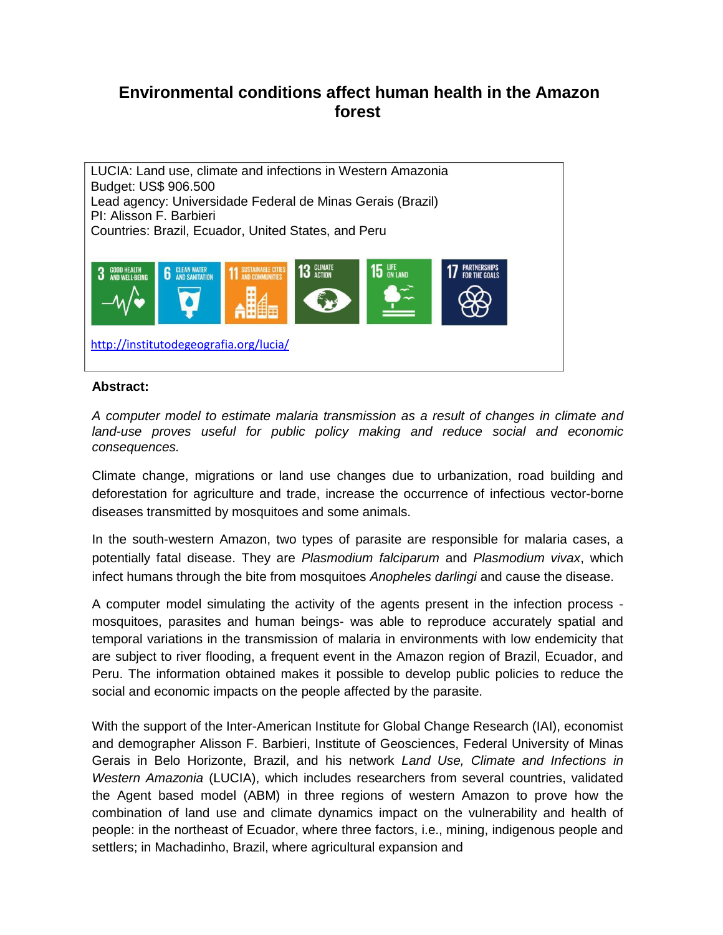### **Environmental conditions affect human health in the Amazon forest**



#### **Abstract:**

*A computer model to estimate malaria transmission as a result of changes in climate and land-use proves useful for public policy making and reduce social and economic consequences.*

Climate change, migrations or land use changes due to urbanization, road building and deforestation for agriculture and trade, increase the occurrence of infectious vector-borne diseases transmitted by mosquitoes and some animals.

In the south-western Amazon, two types of parasite are responsible for malaria cases, a potentially fatal disease. They are *Plasmodium falciparum* and *Plasmodium vivax*, which infect humans through the bite from mosquitoes *Anopheles darlingi* and cause the disease.

A computer model simulating the activity of the agents present in the infection process mosquitoes, parasites and human beings- was able to reproduce accurately spatial and temporal variations in the transmission of malaria in environments with low endemicity that are subject to river flooding, a frequent event in the Amazon region of Brazil, Ecuador, and Peru. The information obtained makes it possible to develop public policies to reduce the social and economic impacts on the people affected by the parasite.

With the support of the Inter-American Institute for Global Change Research (IAI), economist and demographer Alisson F. Barbieri, Institute of Geosciences, Federal University of Minas Gerais in Belo Horizonte, Brazil, and his network *Land Use, Climate and Infections in Western Amazonia* (LUCIA), which includes researchers from several countries, validated the Agent based model (ABM) in three regions of western Amazon to prove how the combination of land use and climate dynamics impact on the vulnerability and health of people: in the northeast of Ecuador, where three factors, i.e., mining, indigenous people and settlers; in Machadinho, Brazil, where agricultural expansion and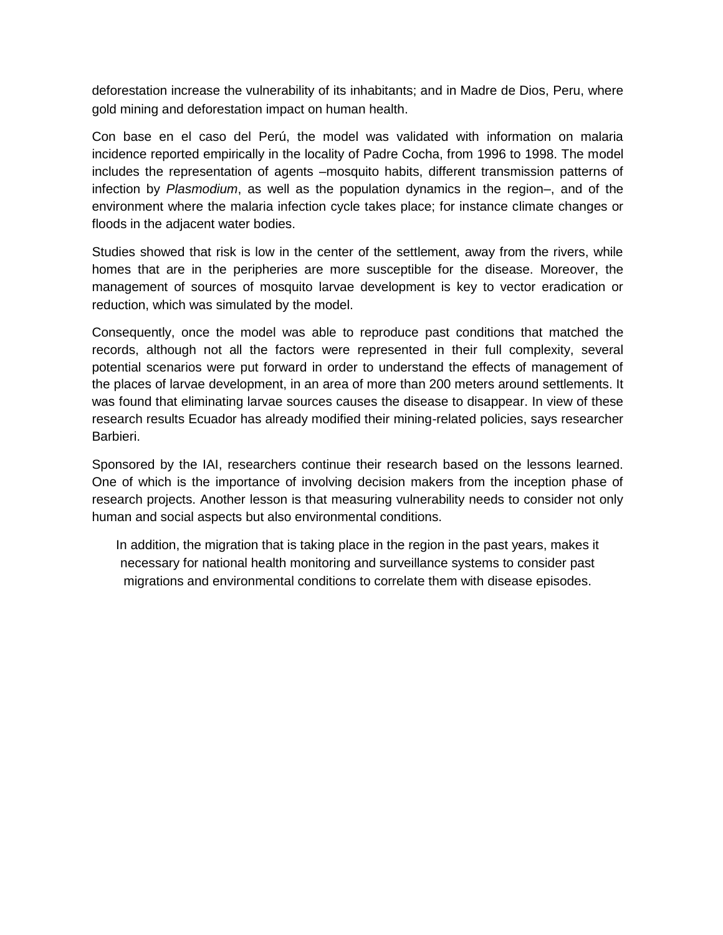deforestation increase the vulnerability of its inhabitants; and in Madre de Dios, Peru, where gold mining and deforestation impact on human health.

Con base en el caso del Perú, the model was validated with information on malaria incidence reported empirically in the locality of Padre Cocha, from 1996 to 1998. The model includes the representation of agents –mosquito habits, different transmission patterns of infection by *Plasmodium*, as well as the population dynamics in the region–, and of the environment where the malaria infection cycle takes place; for instance climate changes or floods in the adjacent water bodies.

Studies showed that risk is low in the center of the settlement, away from the rivers, while homes that are in the peripheries are more susceptible for the disease. Moreover, the management of sources of mosquito larvae development is key to vector eradication or reduction, which was simulated by the model.

Consequently, once the model was able to reproduce past conditions that matched the records, although not all the factors were represented in their full complexity, several potential scenarios were put forward in order to understand the effects of management of the places of larvae development, in an area of more than 200 meters around settlements. It was found that eliminating larvae sources causes the disease to disappear. In view of these research results Ecuador has already modified their mining-related policies, says researcher Barbieri.

Sponsored by the IAI, researchers continue their research based on the lessons learned. One of which is the importance of involving decision makers from the inception phase of research projects. Another lesson is that measuring vulnerability needs to consider not only human and social aspects but also environmental conditions.

In addition, the migration that is taking place in the region in the past years, makes it necessary for national health monitoring and surveillance systems to consider past migrations and environmental conditions to correlate them with disease episodes.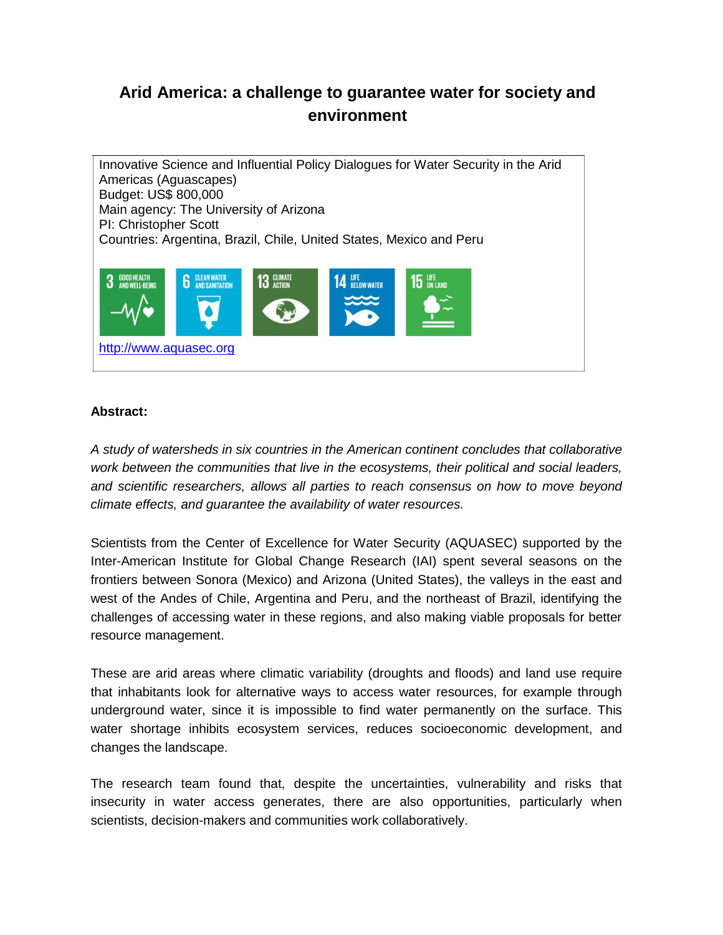# **Arid America: a challenge to guarantee water for society and environment**

Innovative Science and Influential Policy Dialogues for Water Security in the Arid Americas (Aguascapes) Budget: US\$ 800,000 Main agency: The University of Arizona PI: Christopher Scott Countries: Argentina, Brazil, Chile, United States, Mexico and Peru **CLEAN WATER**<br>AND SANITATION  $\mathbf{A}$  LIFE **GOOD HEALTH**<br>AND WELL-REIL  $15$  an land [http://www.aquasec.org](http://www.aquasec.org/)

### **Abstract:**

*A study of watersheds in six countries in the American continent concludes that collaborative work between the communities that live in the ecosystems, their political and social leaders, and scientific researchers, allows all parties to reach consensus on how to move beyond climate effects, and guarantee the availability of water resources.*

Scientists from the Center of Excellence for Water Security (AQUASEC) supported by the Inter-American Institute for Global Change Research (IAI) spent several seasons on the frontiers between Sonora (Mexico) and Arizona (United States), the valleys in the east and west of the Andes of Chile, Argentina and Peru, and the northeast of Brazil, identifying the challenges of accessing water in these regions, and also making viable proposals for better resource management.

These are arid areas where climatic variability (droughts and floods) and land use require that inhabitants look for alternative ways to access water resources, for example through underground water, since it is impossible to find water permanently on the surface. This water shortage inhibits ecosystem services, reduces socioeconomic development, and changes the landscape.

The research team found that, despite the uncertainties, vulnerability and risks that insecurity in water access generates, there are also opportunities, particularly when scientists, decision-makers and communities work collaboratively.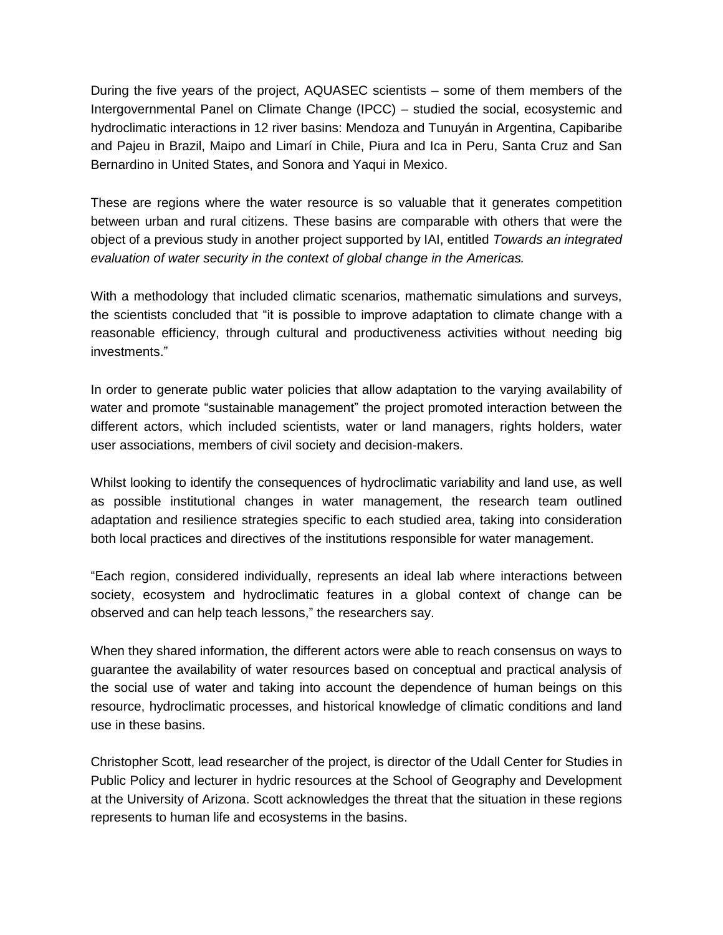During the five years of the project, AQUASEC scientists – some of them members of the Intergovernmental Panel on Climate Change (IPCC) – studied the social, ecosystemic and hydroclimatic interactions in 12 river basins: Mendoza and Tunuyán in Argentina, Capibaribe and Pajeu in Brazil, Maipo and Limarí in Chile, Piura and Ica in Peru, Santa Cruz and San Bernardino in United States, and Sonora and Yaqui in Mexico.

These are regions where the water resource is so valuable that it generates competition between urban and rural citizens. These basins are comparable with others that were the object of a previous study in another project supported by IAI, entitled *Towards an integrated evaluation of water security in the context of global change in the Americas.*

With a methodology that included climatic scenarios, mathematic simulations and surveys, the scientists concluded that "it is possible to improve adaptation to climate change with a reasonable efficiency, through cultural and productiveness activities without needing big investments."

In order to generate public water policies that allow adaptation to the varying availability of water and promote "sustainable management" the project promoted interaction between the different actors, which included scientists, water or land managers, rights holders, water user associations, members of civil society and decision-makers.

Whilst looking to identify the consequences of hydroclimatic variability and land use, as well as possible institutional changes in water management, the research team outlined adaptation and resilience strategies specific to each studied area, taking into consideration both local practices and directives of the institutions responsible for water management.

"Each region, considered individually, represents an ideal lab where interactions between society, ecosystem and hydroclimatic features in a global context of change can be observed and can help teach lessons," the researchers say.

When they shared information, the different actors were able to reach consensus on ways to guarantee the availability of water resources based on conceptual and practical analysis of the social use of water and taking into account the dependence of human beings on this resource, hydroclimatic processes, and historical knowledge of climatic conditions and land use in these basins.

Christopher Scott, lead researcher of the project, is director of the Udall Center for Studies in Public Policy and lecturer in hydric resources at the School of Geography and Development at the University of Arizona. Scott acknowledges the threat that the situation in these regions represents to human life and ecosystems in the basins.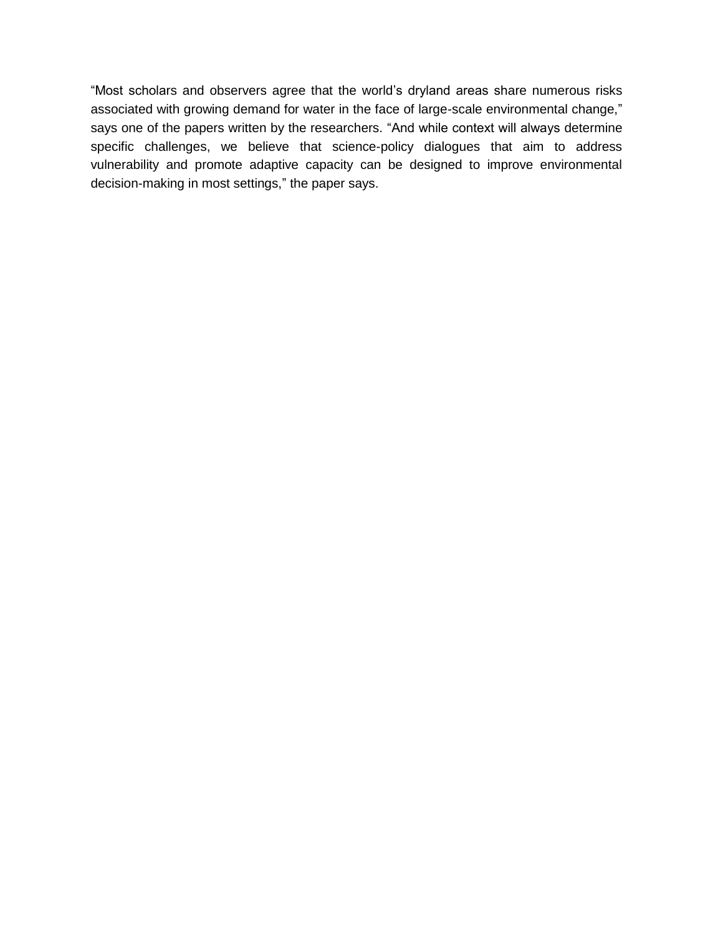"Most scholars and observers agree that the world's dryland areas share numerous risks associated with growing demand for water in the face of large-scale environmental change," says one of the papers written by the researchers. "And while context will always determine specific challenges, we believe that science-policy dialogues that aim to address vulnerability and promote adaptive capacity can be designed to improve environmental decision-making in most settings," the paper says.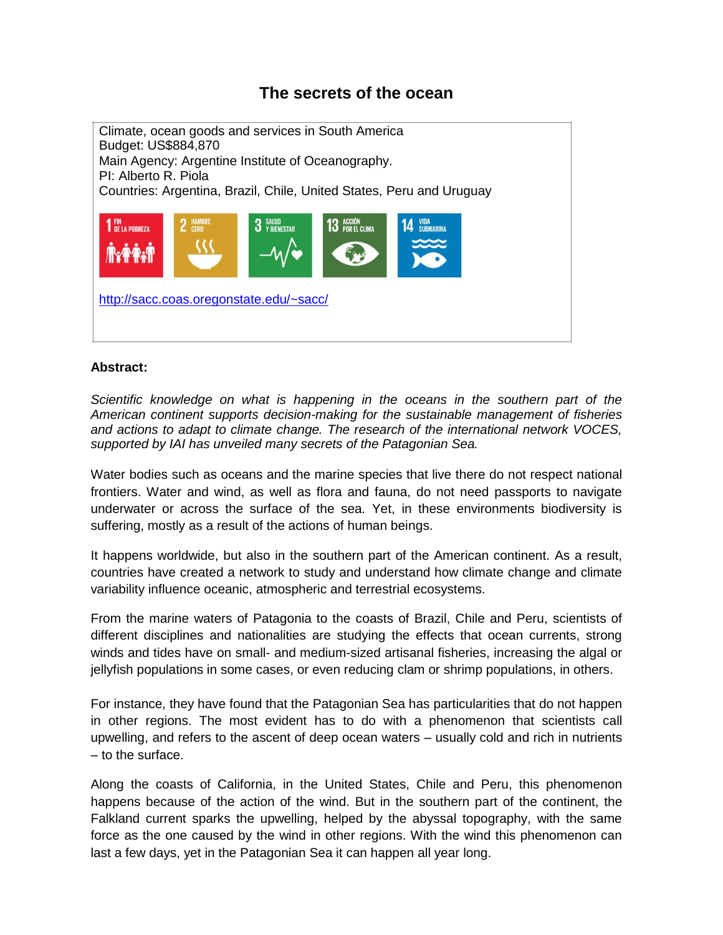### **The secrets of the ocean**

Climate, ocean goods and services in South America Budget: US\$884,870 Main Agency: Argentine Institute of Oceanography. PI: Alberto R. Piola Countries: Argentina, Brazil, Chile, United States, Peru and Uruguay **3** SALUD<br>**3** Y BIENESTAR **1** FIN **13** ACCION<br>**13** Por el clima <http://sacc.coas.oregonstate.edu/~sacc/>

### **Abstract:**

*Scientific knowledge on what is happening in the oceans in the southern part of the American continent supports decision-making for the sustainable management of fisheries and actions to adapt to climate change. The research of the international network VOCES, supported by IAI has unveiled many secrets of the Patagonian Sea.*

Water bodies such as oceans and the marine species that live there do not respect national frontiers. Water and wind, as well as flora and fauna, do not need passports to navigate underwater or across the surface of the sea. Yet, in these environments biodiversity is suffering, mostly as a result of the actions of human beings.

It happens worldwide, but also in the southern part of the American continent. As a result, countries have created a network to study and understand how climate change and climate variability influence oceanic, atmospheric and terrestrial ecosystems.

From the marine waters of Patagonia to the coasts of Brazil, Chile and Peru, scientists of different disciplines and nationalities are studying the effects that ocean currents, strong winds and tides have on small- and medium-sized artisanal fisheries, increasing the algal or jellyfish populations in some cases, or even reducing clam or shrimp populations, in others.

For instance, they have found that the Patagonian Sea has particularities that do not happen in other regions. The most evident has to do with a phenomenon that scientists call upwelling, and refers to the ascent of deep ocean waters – usually cold and rich in nutrients – to the surface.

Along the coasts of California, in the United States, Chile and Peru, this phenomenon happens because of the action of the wind. But in the southern part of the continent, the Falkland current sparks the upwelling, helped by the abyssal topography, with the same force as the one caused by the wind in other regions. With the wind this phenomenon can last a few days, yet in the Patagonian Sea it can happen all year long.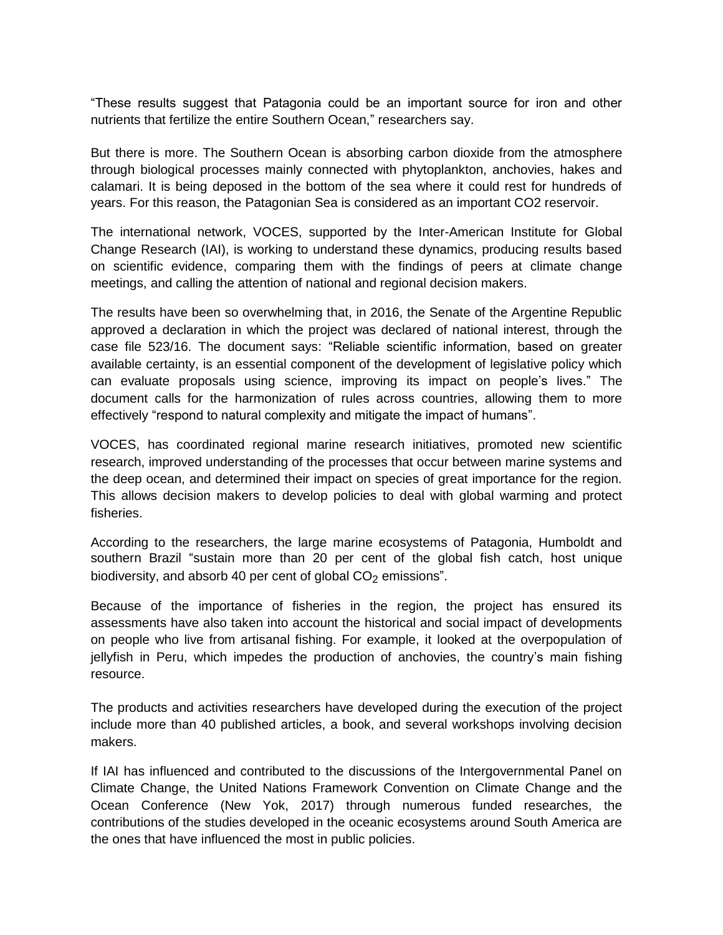"These results suggest that Patagonia could be an important source for iron and other nutrients that fertilize the entire Southern Ocean," researchers say.

But there is more. The Southern Ocean is absorbing carbon dioxide from the atmosphere through biological processes mainly connected with phytoplankton, anchovies, hakes and calamari. It is being deposed in the bottom of the sea where it could rest for hundreds of years. For this reason, the Patagonian Sea is considered as an important CO2 reservoir.

The international network, VOCES, supported by the Inter-American Institute for Global Change Research (IAI), is working to understand these dynamics, producing results based on scientific evidence, comparing them with the findings of peers at climate change meetings, and calling the attention of national and regional decision makers.

The results have been so overwhelming that, in 2016, the Senate of the Argentine Republic approved a declaration in which the project was declared of national interest, through the case file 523/16. The document says: "Reliable scientific information, based on greater available certainty, is an essential component of the development of legislative policy which can evaluate proposals using science, improving its impact on people's lives." The document calls for the harmonization of rules across countries, allowing them to more effectively "respond to natural complexity and mitigate the impact of humans".

VOCES, has coordinated regional marine research initiatives, promoted new scientific research, improved understanding of the processes that occur between marine systems and the deep ocean, and determined their impact on species of great importance for the region. This allows decision makers to develop policies to deal with global warming and protect fisheries.

According to the researchers, the large marine ecosystems of Patagonia, Humboldt and southern Brazil "sustain more than 20 per cent of the global fish catch, host unique biodiversity, and absorb 40 per cent of global  $CO<sub>2</sub>$  emissions".

Because of the importance of fisheries in the region, the project has ensured its assessments have also taken into account the historical and social impact of developments on people who live from artisanal fishing. For example, it looked at the overpopulation of jellyfish in Peru, which impedes the production of anchovies, the country's main fishing resource.

The products and activities researchers have developed during the execution of the project include more than 40 published articles, a book, and several workshops involving decision makers.

If IAI has influenced and contributed to the discussions of the Intergovernmental Panel on Climate Change, the United Nations Framework Convention on Climate Change and the Ocean Conference (New Yok, 2017) through numerous funded researches, the contributions of the studies developed in the oceanic ecosystems around South America are the ones that have influenced the most in public policies.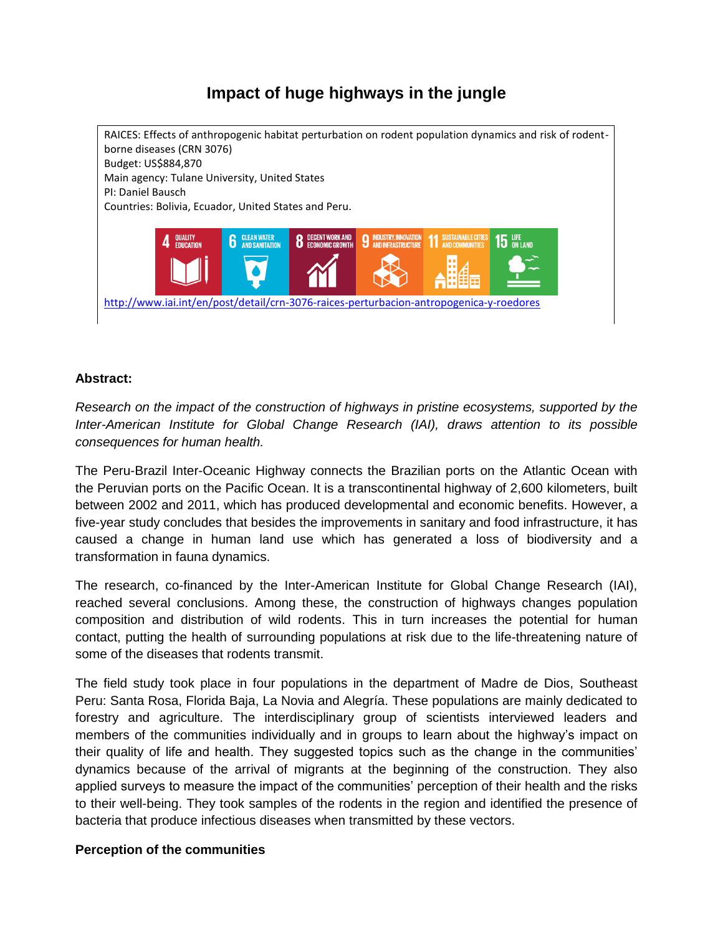# **Impact of huge highways in the jungle**



### **Abstract:**

*Research on the impact of the construction of highways in pristine ecosystems, supported by the Inter-American Institute for Global Change Research (IAI), draws attention to its possible consequences for human health.*

The Peru-Brazil Inter-Oceanic Highway connects the Brazilian ports on the Atlantic Ocean with the Peruvian ports on the Pacific Ocean. It is a transcontinental highway of 2,600 kilometers, built between 2002 and 2011, which has produced developmental and economic benefits. However, a five-year study concludes that besides the improvements in sanitary and food infrastructure, it has caused a change in human land use which has generated a loss of biodiversity and a transformation in fauna dynamics.

The research, co-financed by the Inter-American Institute for Global Change Research (IAI), reached several conclusions. Among these, the construction of highways changes population composition and distribution of wild rodents. This in turn increases the potential for human contact, putting the health of surrounding populations at risk due to the life-threatening nature of some of the diseases that rodents transmit.

The field study took place in four populations in the department of Madre de Dios, Southeast Peru: Santa Rosa, Florida Baja, La Novia and Alegría. These populations are mainly dedicated to forestry and agriculture. The interdisciplinary group of scientists interviewed leaders and members of the communities individually and in groups to learn about the highway's impact on their quality of life and health. They suggested topics such as the change in the communities' dynamics because of the arrival of migrants at the beginning of the construction. They also applied surveys to measure the impact of the communities' perception of their health and the risks to their well-being. They took samples of the rodents in the region and identified the presence of bacteria that produce infectious diseases when transmitted by these vectors.

### **Perception of the communities**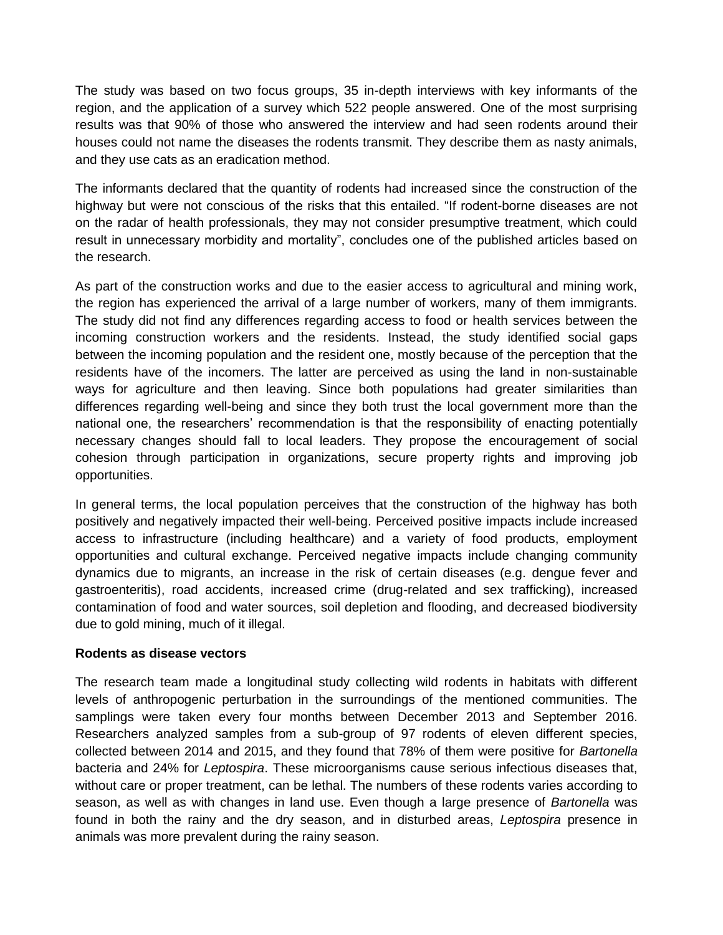The study was based on two focus groups, 35 in-depth interviews with key informants of the region, and the application of a survey which 522 people answered. One of the most surprising results was that 90% of those who answered the interview and had seen rodents around their houses could not name the diseases the rodents transmit. They describe them as nasty animals, and they use cats as an eradication method.

The informants declared that the quantity of rodents had increased since the construction of the highway but were not conscious of the risks that this entailed. "If rodent-borne diseases are not on the radar of health professionals, they may not consider presumptive treatment, which could result in unnecessary morbidity and mortality", concludes one of the published articles based on the research.

As part of the construction works and due to the easier access to agricultural and mining work, the region has experienced the arrival of a large number of workers, many of them immigrants. The study did not find any differences regarding access to food or health services between the incoming construction workers and the residents. Instead, the study identified social gaps between the incoming population and the resident one, mostly because of the perception that the residents have of the incomers. The latter are perceived as using the land in non-sustainable ways for agriculture and then leaving. Since both populations had greater similarities than differences regarding well-being and since they both trust the local government more than the national one, the researchers' recommendation is that the responsibility of enacting potentially necessary changes should fall to local leaders. They propose the encouragement of social cohesion through participation in organizations, secure property rights and improving job opportunities.

In general terms, the local population perceives that the construction of the highway has both positively and negatively impacted their well-being. Perceived positive impacts include increased access to infrastructure (including healthcare) and a variety of food products, employment opportunities and cultural exchange. Perceived negative impacts include changing community dynamics due to migrants, an increase in the risk of certain diseases (e.g. dengue fever and gastroenteritis), road accidents, increased crime (drug-related and sex trafficking), increased contamination of food and water sources, soil depletion and flooding, and decreased biodiversity due to gold mining, much of it illegal.

### **Rodents as disease vectors**

The research team made a longitudinal study collecting wild rodents in habitats with different levels of anthropogenic perturbation in the surroundings of the mentioned communities. The samplings were taken every four months between December 2013 and September 2016. Researchers analyzed samples from a sub-group of 97 rodents of eleven different species, collected between 2014 and 2015, and they found that 78% of them were positive for *Bartonella* bacteria and 24% for *Leptospira*. These microorganisms cause serious infectious diseases that, without care or proper treatment, can be lethal. The numbers of these rodents varies according to season, as well as with changes in land use. Even though a large presence of *Bartonella* was found in both the rainy and the dry season, and in disturbed areas, *Leptospira* presence in animals was more prevalent during the rainy season.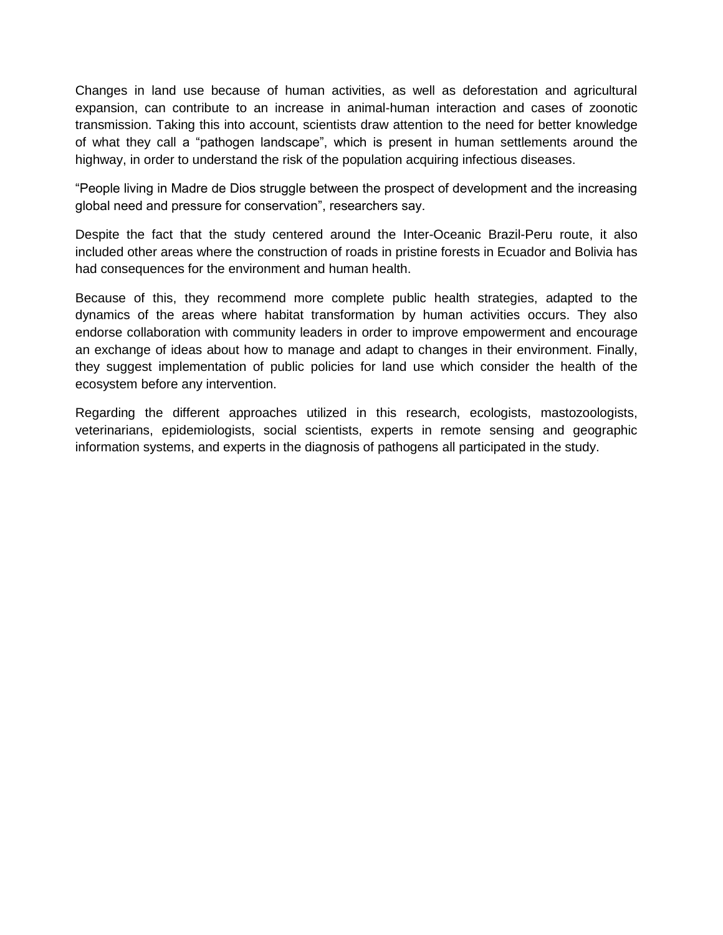Changes in land use because of human activities, as well as deforestation and agricultural expansion, can contribute to an increase in animal-human interaction and cases of zoonotic transmission. Taking this into account, scientists draw attention to the need for better knowledge of what they call a "pathogen landscape", which is present in human settlements around the highway, in order to understand the risk of the population acquiring infectious diseases.

"People living in Madre de Dios struggle between the prospect of development and the increasing global need and pressure for conservation", researchers say.

Despite the fact that the study centered around the Inter-Oceanic Brazil-Peru route, it also included other areas where the construction of roads in pristine forests in Ecuador and Bolivia has had consequences for the environment and human health.

Because of this, they recommend more complete public health strategies, adapted to the dynamics of the areas where habitat transformation by human activities occurs. They also endorse collaboration with community leaders in order to improve empowerment and encourage an exchange of ideas about how to manage and adapt to changes in their environment. Finally, they suggest implementation of public policies for land use which consider the health of the ecosystem before any intervention.

Regarding the different approaches utilized in this research, ecologists, mastozoologists, veterinarians, epidemiologists, social scientists, experts in remote sensing and geographic information systems, and experts in the diagnosis of pathogens all participated in the study.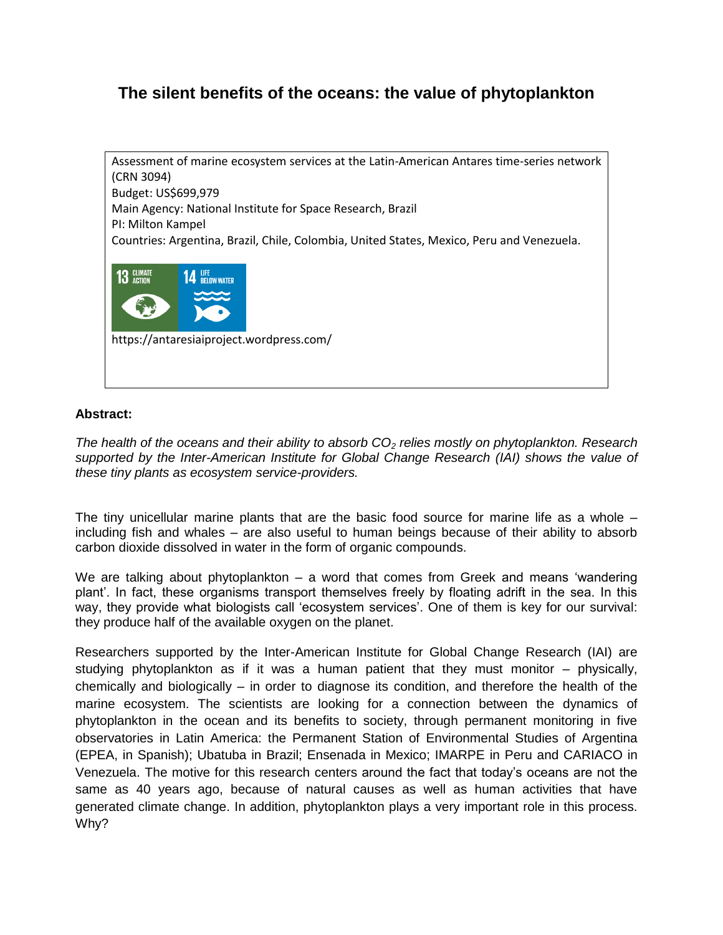## **The silent benefits of the oceans: the value of phytoplankton**



### **Abstract:**

*The health of the oceans and their ability to absorb CO<sup>2</sup> relies mostly on phytoplankton. Research*  supported by the Inter-American Institute for Global Change Research (IAI) shows the value of *these tiny plants as ecosystem service-providers.*

The tiny unicellular marine plants that are the basic food source for marine life as a whole – including fish and whales – are also useful to human beings because of their ability to absorb carbon dioxide dissolved in water in the form of organic compounds.

We are talking about phytoplankton – a word that comes from Greek and means 'wandering plant'. In fact, these organisms transport themselves freely by floating adrift in the sea. In this way, they provide what biologists call 'ecosystem services'. One of them is key for our survival: they produce half of the available oxygen on the planet.

Researchers supported by the Inter-American Institute for Global Change Research (IAI) are studying phytoplankton as if it was a human patient that they must monitor – physically, chemically and biologically – in order to diagnose its condition, and therefore the health of the marine ecosystem. The scientists are looking for a connection between the dynamics of phytoplankton in the ocean and its benefits to society, through permanent monitoring in five observatories in Latin America: the Permanent Station of Environmental Studies of Argentina (EPEA, in Spanish); Ubatuba in Brazil; Ensenada in Mexico; IMARPE in Peru and CARIACO in Venezuela. The motive for this research centers around the fact that today's oceans are not the same as 40 years ago, because of natural causes as well as human activities that have generated climate change. In addition, phytoplankton plays a very important role in this process. Why?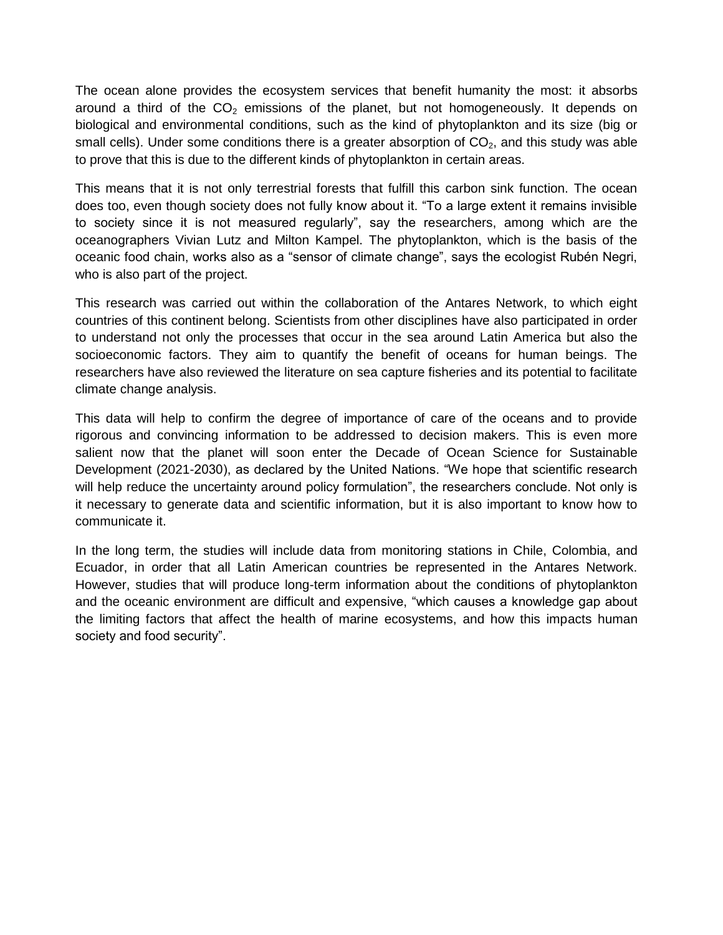The ocean alone provides the ecosystem services that benefit humanity the most: it absorbs around a third of the  $CO<sub>2</sub>$  emissions of the planet, but not homogeneously. It depends on biological and environmental conditions, such as the kind of phytoplankton and its size (big or small cells). Under some conditions there is a greater absorption of  $CO<sub>2</sub>$ , and this study was able to prove that this is due to the different kinds of phytoplankton in certain areas.

This means that it is not only terrestrial forests that fulfill this carbon sink function. The ocean does too, even though society does not fully know about it. "To a large extent it remains invisible to society since it is not measured regularly", say the researchers, among which are the oceanographers Vivian Lutz and Milton Kampel. The phytoplankton, which is the basis of the oceanic food chain, works also as a "sensor of climate change", says the ecologist Rubén Negri, who is also part of the project.

This research was carried out within the collaboration of the Antares Network, to which eight countries of this continent belong. Scientists from other disciplines have also participated in order to understand not only the processes that occur in the sea around Latin America but also the socioeconomic factors. They aim to quantify the benefit of oceans for human beings. The researchers have also reviewed the literature on sea capture fisheries and its potential to facilitate climate change analysis.

This data will help to confirm the degree of importance of care of the oceans and to provide rigorous and convincing information to be addressed to decision makers. This is even more salient now that the planet will soon enter the Decade of Ocean Science for Sustainable Development (2021-2030), as declared by the United Nations. "We hope that scientific research will help reduce the uncertainty around policy formulation", the researchers conclude. Not only is it necessary to generate data and scientific information, but it is also important to know how to communicate it.

In the long term, the studies will include data from monitoring stations in Chile, Colombia, and Ecuador, in order that all Latin American countries be represented in the Antares Network. However, studies that will produce long-term information about the conditions of phytoplankton and the oceanic environment are difficult and expensive, "which causes a knowledge gap about the limiting factors that affect the health of marine ecosystems, and how this impacts human society and food security".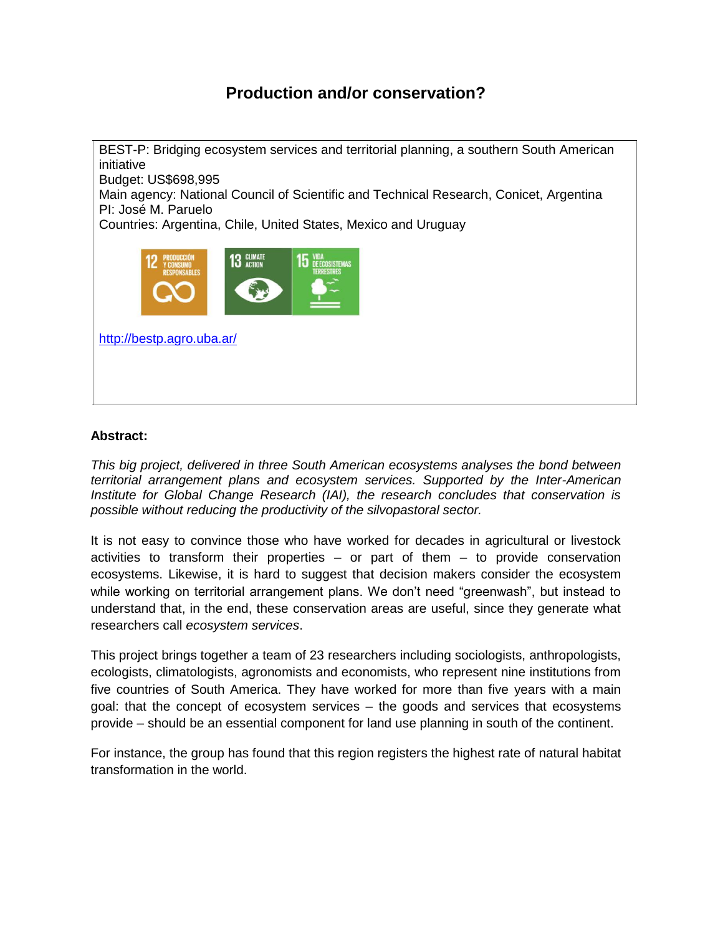# **Production and/or conservation?**

BEST-P: Bridging ecosystem services and territorial planning, a southern South American initiative Budget: US\$698,995 Main agency: National Council of Scientific and Technical Research, Conicet, Argentina PI: José M. Paruelo Countries: Argentina, Chile, United States, Mexico and Uruguay <http://bestp.agro.uba.ar/>

#### **Abstract:**

*This big project, delivered in three South American ecosystems analyses the bond between territorial arrangement plans and ecosystem services. Supported by the Inter-American Institute for Global Change Research (IAI), the research concludes that conservation is possible without reducing the productivity of the silvopastoral sector.*

It is not easy to convince those who have worked for decades in agricultural or livestock activities to transform their properties  $-$  or part of them  $-$  to provide conservation ecosystems. Likewise, it is hard to suggest that decision makers consider the ecosystem while working on territorial arrangement plans. We don't need "greenwash", but instead to understand that, in the end, these conservation areas are useful, since they generate what researchers call *ecosystem services*.

This project brings together a team of 23 researchers including sociologists, anthropologists, ecologists, climatologists, agronomists and economists, who represent nine institutions from five countries of South America. They have worked for more than five years with a main goal: that the concept of ecosystem services – the goods and services that ecosystems provide – should be an essential component for land use planning in south of the continent.

For instance, the group has found that this region registers the highest rate of natural habitat transformation in the world.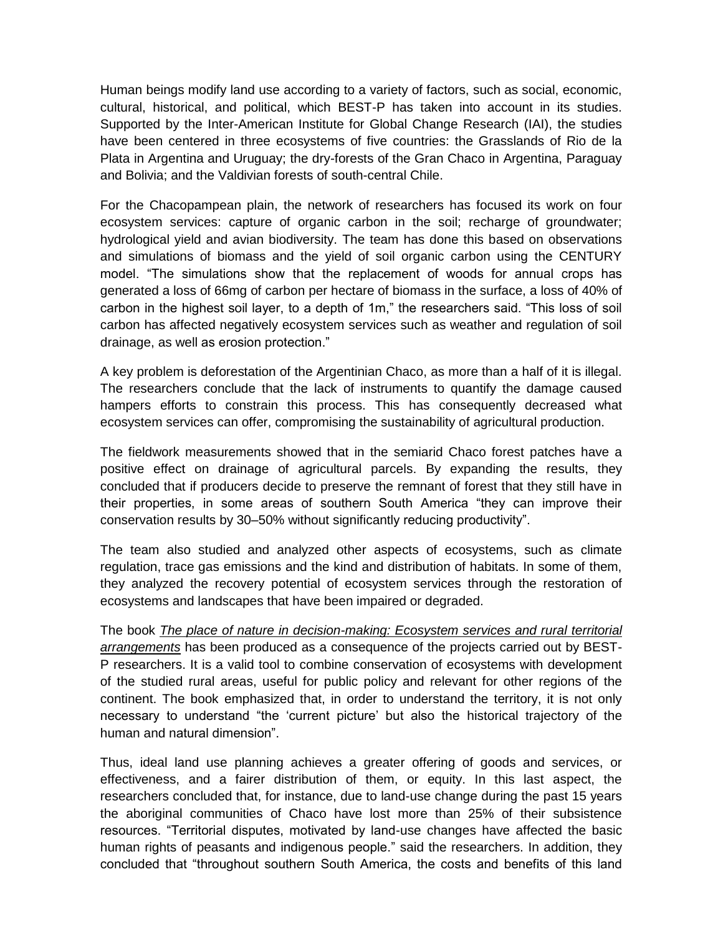Human beings modify land use according to a variety of factors, such as social, economic, cultural, historical, and political, which BEST-P has taken into account in its studies. Supported by the Inter-American Institute for Global Change Research (IAI), the studies have been centered in three ecosystems of five countries: the Grasslands of Rio de la Plata in Argentina and Uruguay; the dry-forests of the Gran Chaco in Argentina, Paraguay and Bolivia; and the Valdivian forests of south-central Chile.

For the Chacopampean plain, the network of researchers has focused its work on four ecosystem services: capture of organic carbon in the soil; recharge of groundwater; hydrological yield and avian biodiversity. The team has done this based on observations and simulations of biomass and the yield of soil organic carbon using the CENTURY model. "The simulations show that the replacement of woods for annual crops has generated a loss of 66mg of carbon per hectare of biomass in the surface, a loss of 40% of carbon in the highest soil layer, to a depth of 1m," the researchers said. "This loss of soil carbon has affected negatively ecosystem services such as weather and regulation of soil drainage, as well as erosion protection."

A key problem is deforestation of the Argentinian Chaco, as more than a half of it is illegal. The researchers conclude that the lack of instruments to quantify the damage caused hampers efforts to constrain this process. This has consequently decreased what ecosystem services can offer, compromising the sustainability of agricultural production.

The fieldwork measurements showed that in the semiarid Chaco forest patches have a positive effect on drainage of agricultural parcels. By expanding the results, they concluded that if producers decide to preserve the remnant of forest that they still have in their properties, in some areas of southern South America "they can improve their conservation results by 30–50% without significantly reducing productivity".

The team also studied and analyzed other aspects of ecosystems, such as climate regulation, trace gas emissions and the kind and distribution of habitats. In some of them, they analyzed the recovery potential of ecosystem services through the restoration of ecosystems and landscapes that have been impaired or degraded.

The book *[The place of nature in decision-making: Ecosystem services and rural territorial](https://drive.google.com/drive/folders/0BwA9B2Si2Fx3cWJMbHNwelltdWM) [arrangements](https://drive.google.com/drive/folders/0BwA9B2Si2Fx3cWJMbHNwelltdWM)* has been produced as a consequence of the projects carried out by BEST-P researchers. It is a valid tool to combine conservation of ecosystems with development of the studied rural areas, useful for public policy and relevant for other regions of the continent. The book emphasized that, in order to understand the territory, it is not only necessary to understand "the 'current picture' but also the historical trajectory of the human and natural dimension".

Thus, ideal land use planning achieves a greater offering of goods and services, or effectiveness, and a fairer distribution of them, or equity. In this last aspect, the researchers concluded that, for instance, due to land-use change during the past 15 years the aboriginal communities of Chaco have lost more than 25% of their subsistence resources. "Territorial disputes, motivated by land-use changes have affected the basic human rights of peasants and indigenous people." said the researchers. In addition, they concluded that "throughout southern South America, the costs and benefits of this land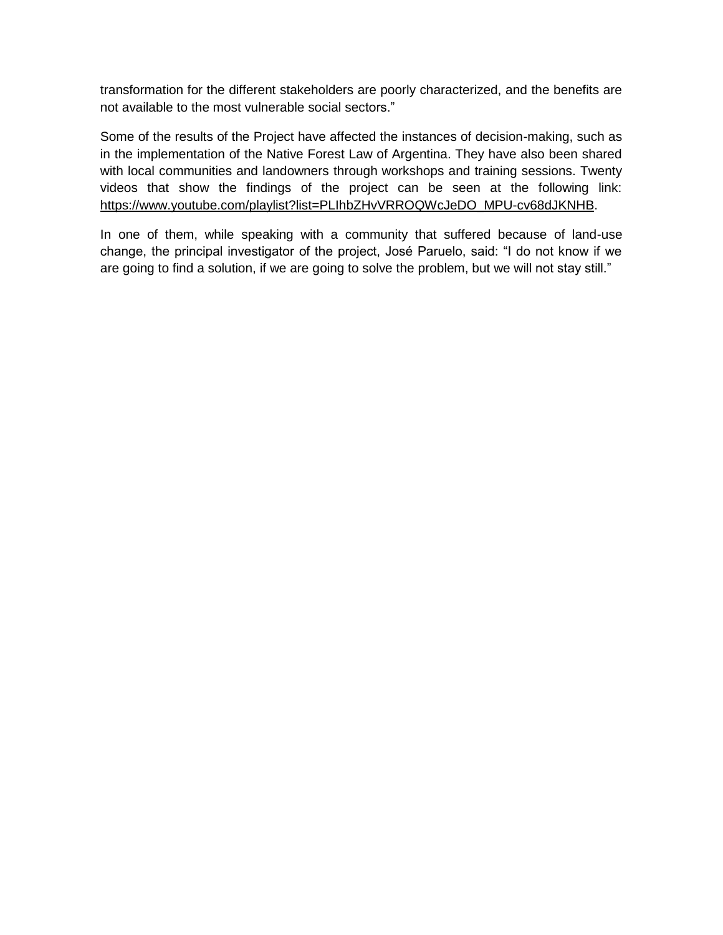transformation for the different stakeholders are poorly characterized, and the benefits are not available to the most vulnerable social sectors."

Some of the results of the Project have affected the instances of decision-making, such as in the implementation of the Native Forest Law of Argentina. They have also been shared with local communities and landowners through workshops and training sessions. Twenty videos that show the findings of the project can be seen at the following link: [https://www.youtube.com/playlist?list=PLIhbZHvVRROQWcJeDO\\_MPU-cv68dJKNHB.](https://www.youtube.com/playlist?list=PLIhbZHvVRROQWcJeDO_MPU-cv68dJKNHB)

In one of them, while speaking with a community that suffered because of land-use change, the principal investigator of the project, José Paruelo, said: "I do not know if we are going to find a solution, if we are going to solve the problem, but we will not stay still."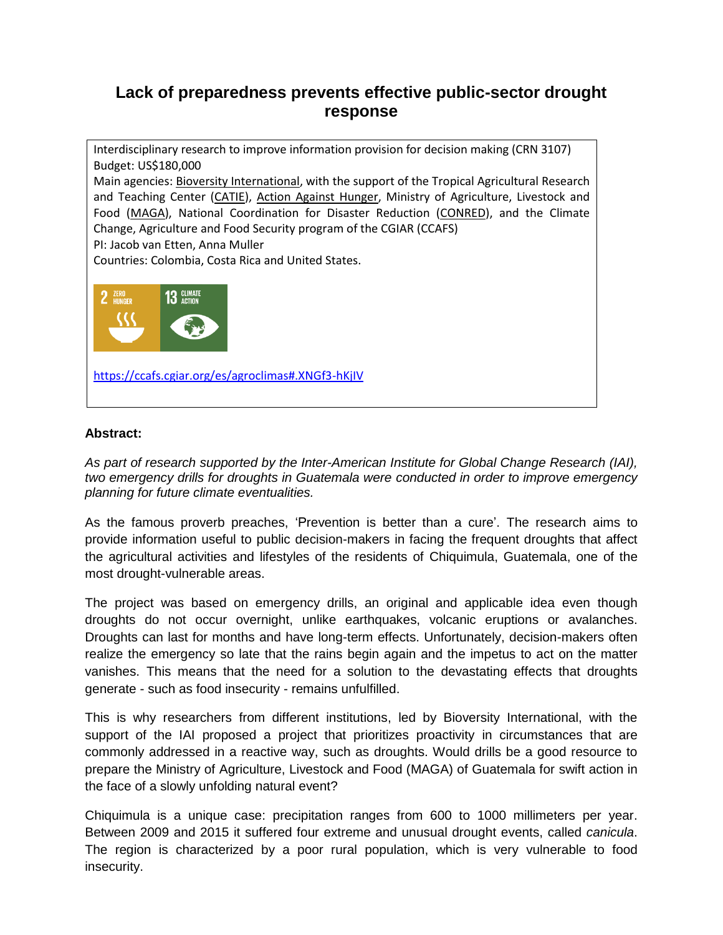### **Lack of preparedness prevents effective public-sector drought response**

Interdisciplinary research to improve information provision for decision making (CRN 3107) Budget: US\$180,000 Main agencies: [Bioversity International,](http://www.bioversityinternational.org/) with the support of the Tropical Agricultural Research and Teaching Center [\(CATIE\)](http://www.catie.ac.cr/), Action Against Hunger, Ministry of Agriculture, Livestock and Food [\(MAGA\)](http://www.maga.gob.gt/), National Coordination for Disaster Reduction [\(CONRED\)](http://conred.gob.gt/site/index.php), and the Climate Change, Agriculture and Food Security program of the CGIAR (CCAFS) PI: Jacob van Etten, Anna Muller Countries: Colombia, Costa Rica and United States. 2 ZERO **13 GLIMATI** <https://ccafs.cgiar.org/es/agroclimas#.XNGf3-hKjIV>

### **Abstract:**

*As part of research supported by the Inter-American Institute for Global Change Research (IAI), two emergency drills for droughts in Guatemala were conducted in order to improve emergency planning for future climate eventualities.*

As the famous proverb preaches, 'Prevention is better than a cure'. The research aims to provide information useful to public decision-makers in facing the frequent droughts that affect the agricultural activities and lifestyles of the residents of Chiquimula, Guatemala, one of the most drought-vulnerable areas.

The project was based on emergency drills, an original and applicable idea even though droughts do not occur overnight, unlike earthquakes, volcanic eruptions or avalanches. Droughts can last for months and have long-term effects. Unfortunately, decision-makers often realize the emergency so late that the rains begin again and the impetus to act on the matter vanishes. This means that the need for a solution to the devastating effects that droughts generate - such as food insecurity - remains unfulfilled.

This is why researchers from different institutions, led by Bioversity International, with the support of the IAI proposed a project that prioritizes proactivity in circumstances that are commonly addressed in a reactive way, such as droughts. Would drills be a good resource to prepare the Ministry of Agriculture, Livestock and Food (MAGA) of Guatemala for swift action in the face of a slowly unfolding natural event?

Chiquimula is a unique case: precipitation ranges from 600 to 1000 millimeters per year. Between 2009 and 2015 it suffered four extreme and unusual drought events, called *canicula*. The region is characterized by a poor rural population, which is very vulnerable to food insecurity.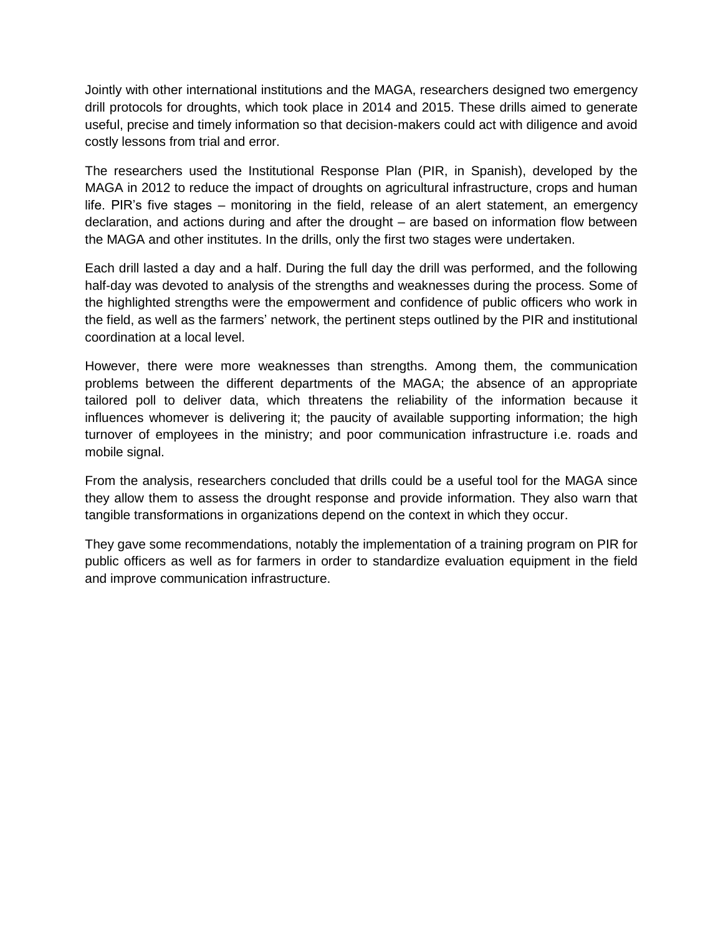Jointly with other international institutions and the MAGA, researchers designed two emergency drill protocols for droughts, which took place in 2014 and 2015. These drills aimed to generate useful, precise and timely information so that decision-makers could act with diligence and avoid costly lessons from trial and error.

The researchers used the Institutional Response Plan (PIR, in Spanish), developed by the MAGA in 2012 to reduce the impact of droughts on agricultural infrastructure, crops and human life. PIR's five stages – monitoring in the field, release of an alert statement, an emergency declaration, and actions during and after the drought – are based on information flow between the MAGA and other institutes. In the drills, only the first two stages were undertaken.

Each drill lasted a day and a half. During the full day the drill was performed, and the following half-day was devoted to analysis of the strengths and weaknesses during the process. Some of the highlighted strengths were the empowerment and confidence of public officers who work in the field, as well as the farmers' network, the pertinent steps outlined by the PIR and institutional coordination at a local level.

However, there were more weaknesses than strengths. Among them, the communication problems between the different departments of the MAGA; the absence of an appropriate tailored poll to deliver data, which threatens the reliability of the information because it influences whomever is delivering it; the paucity of available supporting information; the high turnover of employees in the ministry; and poor communication infrastructure i.e. roads and mobile signal.

From the analysis, researchers concluded that drills could be a useful tool for the MAGA since they allow them to assess the drought response and provide information. They also warn that tangible transformations in organizations depend on the context in which they occur.

They gave some recommendations, notably the implementation of a training program on PIR for public officers as well as for farmers in order to standardize evaluation equipment in the field and improve communication infrastructure.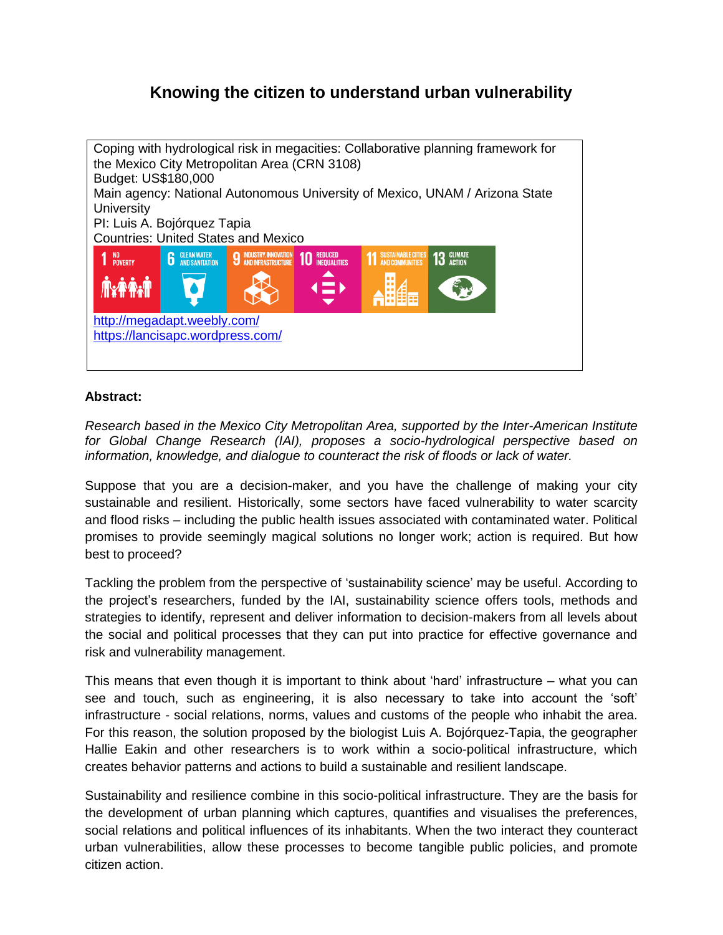# **Knowing the citizen to understand urban vulnerability**



### **Abstract:**

*Research based in the Mexico City Metropolitan Area, supported by the Inter-American Institute for Global Change Research (IAI), proposes a socio-hydrological perspective based on information, knowledge, and dialogue to counteract the risk of floods or lack of water.*

Suppose that you are a decision-maker, and you have the challenge of making your city sustainable and resilient. Historically, some sectors have faced vulnerability to water scarcity and flood risks – including the public health issues associated with contaminated water. Political promises to provide seemingly magical solutions no longer work; action is required. But how best to proceed?

Tackling the problem from the perspective of 'sustainability science' may be useful. According to the project's researchers, funded by the IAI, sustainability science offers tools, methods and strategies to identify, represent and deliver information to decision-makers from all levels about the social and political processes that they can put into practice for effective governance and risk and vulnerability management.

This means that even though it is important to think about 'hard' infrastructure – what you can see and touch, such as engineering, it is also necessary to take into account the 'soft' infrastructure - social relations, norms, values and customs of the people who inhabit the area. For this reason, the solution proposed by the biologist Luis A. Bojórquez-Tapia, the geographer Hallie Eakin and other researchers is to work within a socio-political infrastructure, which creates behavior patterns and actions to build a sustainable and resilient landscape.

Sustainability and resilience combine in this socio-political infrastructure. They are the basis for the development of urban planning which captures, quantifies and visualises the preferences, social relations and political influences of its inhabitants. When the two interact they counteract urban vulnerabilities, allow these processes to become tangible public policies, and promote citizen action.